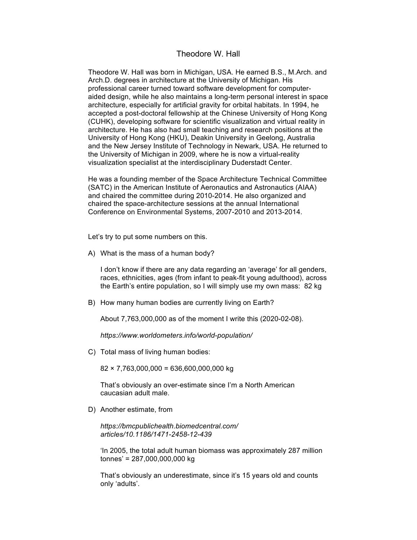## Theodore W. Hall

Theodore W. Hall was born in Michigan, USA. He earned B.S., M.Arch. and Arch.D. degrees in architecture at the University of Michigan. His professional career turned toward software development for computeraided design, while he also maintains a long-term personal interest in space architecture, especially for artificial gravity for orbital habitats. In 1994, he accepted a post-doctoral fellowship at the Chinese University of Hong Kong (CUHK), developing software for scientific visualization and virtual reality in architecture. He has also had small teaching and research positions at the University of Hong Kong (HKU), Deakin University in Geelong, Australia and the New Jersey Institute of Technology in Newark, USA. He returned to the University of Michigan in 2009, where he is now a virtual-reality visualization specialist at the interdisciplinary Duderstadt Center.

He was a founding member of the Space Architecture Technical Committee (SATC) in the American Institute of Aeronautics and Astronautics (AIAA) and chaired the committee during 2010-2014. He also organized and chaired the space-architecture sessions at the annual International Conference on Environmental Systems, 2007-2010 and 2013-2014.

Let's try to put some numbers on this.

A) What is the mass of a human body?

I don't know if there are any data regarding an 'average' for all genders, races, ethnicities, ages (from infant to peak-fit young adulthood), across the Earth's entire population, so I will simply use my own mass: 82 kg

B) How many human bodies are currently living on Earth?

About 7,763,000,000 as of the moment I write this (2020-02-08).

*https://www.worldometers.info/world-population/*

C) Total mass of living human bodies:

 $82 \times 7,763,000,000 = 636,600,000,000$  kg

That's obviously an over-estimate since I'm a North American caucasian adult male.

D) Another estimate, from

*https://bmcpublichealth.biomedcentral.com/ articles/10.1186/1471-2458-12-439*

'In 2005, the total adult human biomass was approximately 287 million tonnes' = 287,000,000,000 kg

That's obviously an underestimate, since it's 15 years old and counts only 'adults'.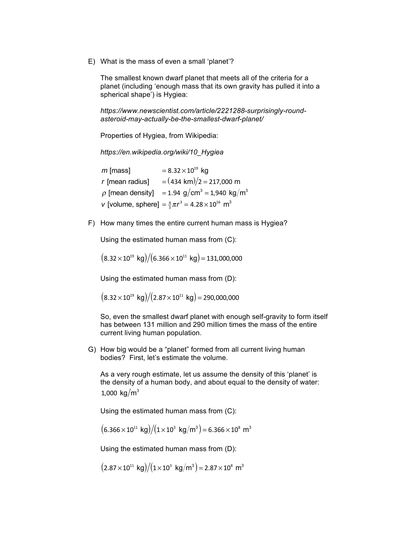E) What is the mass of even a small 'planet'?

The smallest known dwarf planet that meets all of the criteria for a planet (including 'enough mass that its own gravity has pulled it into a spherical shape') is Hygiea:

*https://www.newscientist.com/article/2221288-surprisingly-roundasteroid-may-actually-be-the-smallest-dwarf-planet/*

Properties of Hygiea, from Wikipedia:

*https://en.wikipedia.org/wiki/10\_Hygiea*

*m* [mass]  $= 8.32 \times 10^{19}$  kg *r* [mean radius]  $= (434 \text{ km})/2 = 217,000 \text{ m}$  $\rho$  [mean density] = 1.94 g/cm<sup>3</sup> = 1,940 kg/m<sup>3</sup> *v* [volume, sphere] =  $\frac{4}{3}\pi r^3$  = 4.28 × 10<sup>16</sup> m<sup>3</sup>

F) How many times the entire current human mass is Hygiea?

Using the estimated human mass from (C):

 $(8.32 \times 10^{19} \text{ kg})/(6.366 \times 10^{11} \text{ kg}) = 131,000,000$ 

Using the estimated human mass from (D):

 $(8.32 \times 10^{19} \text{ kg})/(2.87 \times 10^{11} \text{ kg}) = 290,000,000$ 

So, even the smallest dwarf planet with enough self-gravity to form itself has between 131 million and 290 million times the mass of the entire current living human population.

G) How big would be a "planet" formed from all current living human bodies? First, let's estimate the volume.

As a very rough estimate, let us assume the density of this 'planet' is the density of a human body, and about equal to the density of water: 1,000 kg/ $m^3$ 

Using the estimated human mass from (C):

 $(6.366 \times 10^{11} \text{ kg})/(1 \times 10^3 \text{ kg/m}^3) = 6.366 \times 10^8 \text{ m}^3$ 

Using the estimated human mass from (D):

 $(2.87 \times 10^{11} \text{ kg})/(1 \times 10^3 \text{ kg/m}^3) = 2.87 \times 10^8 \text{ m}^3$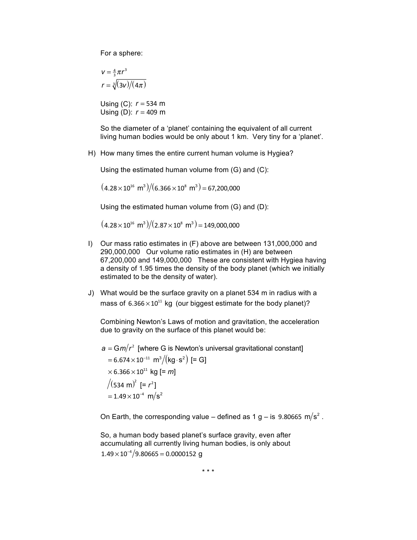For a sphere:

$$
V = \frac{4}{3}\pi r^3
$$

$$
r = \sqrt[3]{(3v)/(4\pi)}
$$

Using (C): *r* = 534 m Using (D): *r* = 409 m

So the diameter of a 'planet' containing the equivalent of all current living human bodies would be only about 1 km. Very tiny for a 'planet'.

H) How many times the entire current human volume is Hygiea?

Using the estimated human volume from (G) and (C):

 $(4.28 \times 10^{16} \text{ m}^3)/(6.366 \times 10^8 \text{ m}^3) = 67,200,000$ 

Using the estimated human volume from (G) and (D):

 $(4.28 \times 10^{16} \text{ m}^3)/(2.87 \times 10^8 \text{ m}^3) = 149,000,000$ 

- I) Our mass ratio estimates in (F) above are between 131,000,000 and 290,000,000 Our volume ratio estimates in (H) are between 67,200,000 and 149,000,000 These are consistent with Hygiea having a density of 1.95 times the density of the body planet (which we initially estimated to be the density of water).
- J) What would be the surface gravity on a planet 534 m in radius with a mass of  $6.366 \times 10^{11}$  kg (our biggest estimate for the body planet)?

Combining Newton's Laws of motion and gravitation, the acceleration due to gravity on the surface of this planet would be:

 $a = \frac{Gm}{r^2}$  [where G is Newton's universal gravitational constant]

 $= 6.674 \times 10^{-11}$  m<sup>3</sup>/(kg⋅s<sup>2</sup>) [= G]  $\times$  6.366 $\times$ 10<sup>11</sup> kg [= *m*]  $(534 \text{ m})^2$  [=  $r^2$ ]  $= 1.49 \times 10^{-4}$  m/s<sup>2</sup>

On Earth, the corresponding value – defined as 1 g – is 9.80665 m/s<sup>2</sup>.

So, a human body based planet's surface gravity, even after accumulating all currently living human bodies, is only about  $1.49 \times 10^{-4} / 9.80665 = 0.0000152$  q

\* \* \*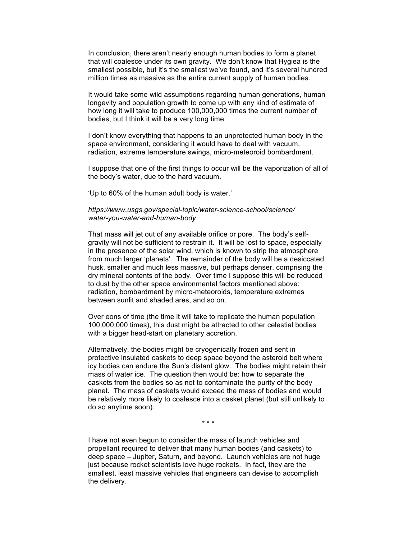In conclusion, there aren't nearly enough human bodies to form a planet that will coalesce under its own gravity. We don't know that Hygiea is the smallest possible, but it's the smallest we've found, and it's several hundred million times as massive as the entire current supply of human bodies.

It would take some wild assumptions regarding human generations, human longevity and population growth to come up with any kind of estimate of how long it will take to produce 100,000,000 times the current number of bodies, but I think it will be a very long time.

I don't know everything that happens to an unprotected human body in the space environment, considering it would have to deal with vacuum, radiation, extreme temperature swings, micro-meteoroid bombardment.

I suppose that one of the first things to occur will be the vaporization of all of the body's water, due to the hard vacuum.

'Up to 60% of the human adult body is water.'

## *https://www.usgs.gov/special-topic/water-science-school/science/ water-you-water-and-human-body*

That mass will jet out of any available orifice or pore. The body's selfgravity will not be sufficient to restrain it. It will be lost to space, especially in the presence of the solar wind, which is known to strip the atmosphere from much larger 'planets'. The remainder of the body will be a desiccated husk, smaller and much less massive, but perhaps denser, comprising the dry mineral contents of the body. Over time I suppose this will be reduced to dust by the other space environmental factors mentioned above: radiation, bombardment by micro-meteoroids, temperature extremes between sunlit and shaded ares, and so on.

Over eons of time (the time it will take to replicate the human population 100,000,000 times), this dust might be attracted to other celestial bodies with a bigger head-start on planetary accretion.

Alternatively, the bodies might be cryogenically frozen and sent in protective insulated caskets to deep space beyond the asteroid belt where icy bodies can endure the Sun's distant glow. The bodies might retain their mass of water ice. The question then would be: how to separate the caskets from the bodies so as not to contaminate the purity of the body planet. The mass of caskets would exceed the mass of bodies and would be relatively more likely to coalesce into a casket planet (but still unlikely to do so anytime soon).

\* \* \*

I have not even begun to consider the mass of launch vehicles and propellant required to deliver that many human bodies (and caskets) to deep space – Jupiter, Saturn, and beyond. Launch vehicles are not huge just because rocket scientists love huge rockets. In fact, they are the smallest, least massive vehicles that engineers can devise to accomplish the delivery.